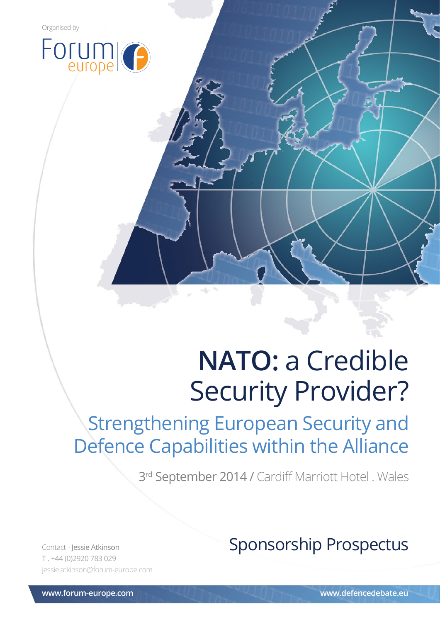

## Strengthening European Security and Defence Capabilities within the Alliance

3<sup>rd</sup> September 2014 / Cardiff Marriott Hotel . Wales

od - Jessie Atkinson @forum-europe.com<br>jessie.atkinson@forum-europe.com T . +44 (0)2920 783 029

### Contact - Jessie Atkinson **Sponsorship Prospectus**

**www.forum-europe.com www.defencedebate.eu**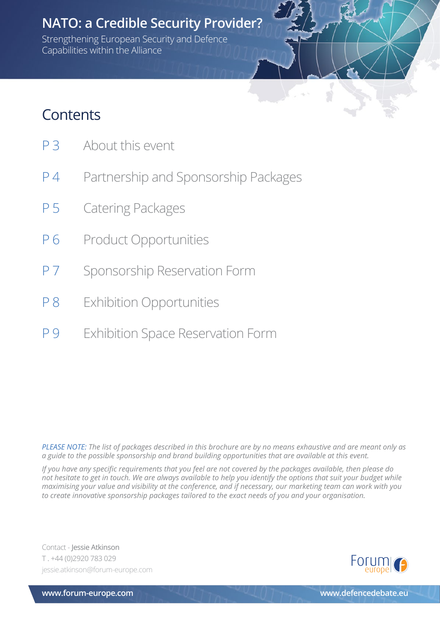Strengthening European Security and Defence Capabilities within the Alliance

P 3 About this event

**Contents** 

- P 4 Partnership and Sponsorship Packages
- P 5 Catering Packages
- P 6 Product Opportunities
- P 7 Sponsorship Reservation Form
- P 8 Exhibition Opportunities
- P 9 Exhibition Space Reservation Form

*PLEASE NOTE: The list of packages described in this brochure are by no means exhaustive and are meant only as a guide to the possible sponsorship and brand building opportunities that are available at this event.* 

*If you have any specific requirements that you feel are not covered by the packages available, then please do not hesitate to get in touch. We are always available to help you identify the options that suit your budget while maximising your value and visibility at the conference, and if necessary, our marketing team can work with you to create innovative sponsorship packages tailored to the exact needs of you and your organisation.*

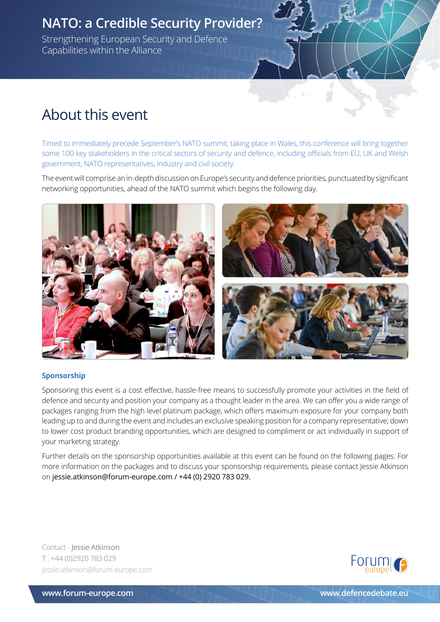Strengthening European Security and Defence Capabilities within the Alliance

### About this event

Timed to immediately precede September's NATO summit, taking place in Wales, this conference will bring together some 100 key stakeholders in the critical sectors of security and defence, including officials from EU, UK and Welsh government, NATO representatives, industry and civil society.

The event will comprise an in-depth discussion on Europe's security and defence priorities, punctuated by significant networking opportunities, ahead of the NATO summit which begins the following day.



#### **Sponsorship**

Sponsoring this event is a cost effective, hassle-free means to successfully promote your activities in the field of defence and security and position your company as a thought leader in the area. We can offer you a wide range of packages ranging from the high level platinum package, which offers maximum exposure for your company both leading up to and during the event and includes an exclusive speaking position for a company representative; down to lower cost product branding opportunities, which are designed to compliment or act individually in support of your marketing strategy.

Further details on the sponsorship opportunities available at this event can be found on the following pages. For more information on the packages and to discuss your sponsorship requirements, please contact Jessie Atkinson on jessie.atkinson@forum-europe.com / +44 (0) 2920 783 029.

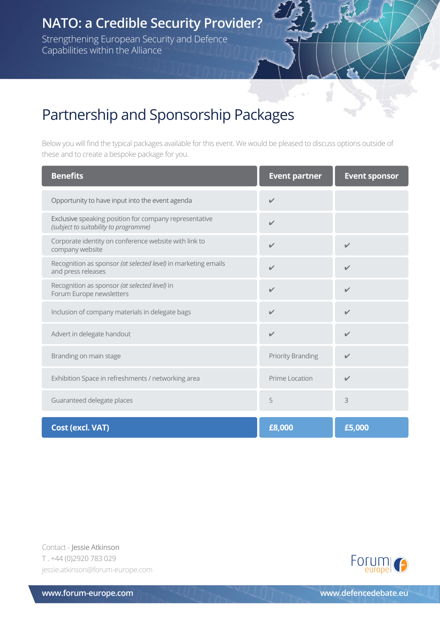Strengthening European Security and Defence Capabilities within the Alliance

### Partnership and Sponsorship Packages

Below you will find the typical packages available for this event. We would be pleased to discuss options outside of these and to create a bespoke package for you.

S

| <b>Benefits</b>                                                                                 | <b>Event partner</b>     | <b>Event sponsor</b> |
|-------------------------------------------------------------------------------------------------|--------------------------|----------------------|
| Opportunity to have input into the event agenda                                                 | $\sqrt{2}$               |                      |
| Exclusive speaking position for company representative<br>(subject to suitability to programme) | $\checkmark$             |                      |
| Corporate identity on conference website with link to<br>company website                        | $\checkmark$             | $\checkmark$         |
| Recognition as sponsor (at selected level) in marketing emails<br>and press releases            | $\checkmark$             | $\checkmark$         |
| Recognition as sponsor (at selected level) in<br>Forum Europe newsletters                       | $\checkmark$             | $\checkmark$         |
| Inclusion of company materials in delegate bags                                                 | $\checkmark$             | $\checkmark$         |
| Advert in delegate handout                                                                      | $\checkmark$             | $\checkmark$         |
| Branding on main stage                                                                          | <b>Priority Branding</b> | $\checkmark$         |
| Exhibition Space in refreshments / networking area                                              | Prime Location           | $\checkmark$         |
| Guaranteed delegate places                                                                      | 5                        | 3                    |
| <b>Cost (excl. VAT)</b>                                                                         | £8,000                   | £5,000               |

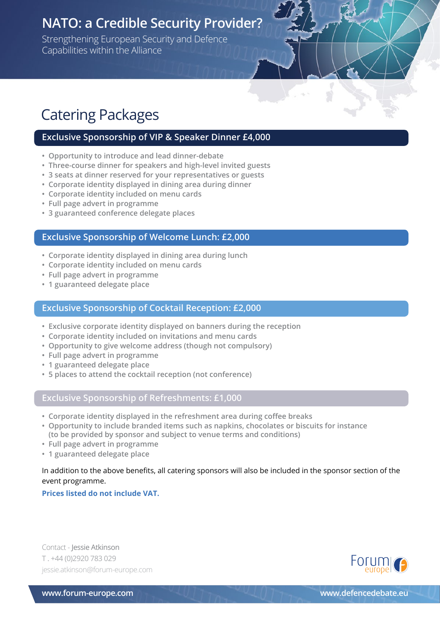Strengthening European Security and Defence Capabilities within the Alliance

### Catering Packages

#### **Exclusive Sponsorship of VIP & Speaker Dinner £4,000**

- **Opportunity to introduce and lead dinner-debate**
- **Three-course dinner for speakers and high-level invited guests**
- **3 seats at dinner reserved for your representatives or guests**
- **Corporate identity displayed in dining area during dinner**
- **Corporate identity included on menu cards**
- **Full page advert in programme**
- **3 guaranteed conference delegate places**

#### **Exclusive Sponsorship of Welcome Lunch: £2,000**

- **Corporate identity displayed in dining area during lunch**
- **Corporate identity included on menu cards**
- **Full page advert in programme**
- **1 guaranteed delegate place**

#### **Exclusive Sponsorship of Cocktail Reception: £2,000**

- **Exclusive corporate identity displayed on banners during the reception**
- **Corporate identity included on invitations and menu cards**
- **Opportunity to give welcome address (though not compulsory)**
- **Full page advert in programme**
- **1 guaranteed delegate place**
- **5 places to attend the cocktail reception (not conference)**

#### **Exclusive Sponsorship of Refreshments: £1,000**

- **Corporate identity displayed in the refreshment area during coffee breaks**
- **Opportunity to include branded items such as napkins, chocolates or biscuits for instance (to be provided by sponsor and subject to venue terms and conditions)**
- **Full page advert in programme**
- **1 guaranteed delegate place**

#### In addition to the above benefits, all catering sponsors will also be included in the sponsor section of the event programme.

#### **Prices listed do not include VAT.**

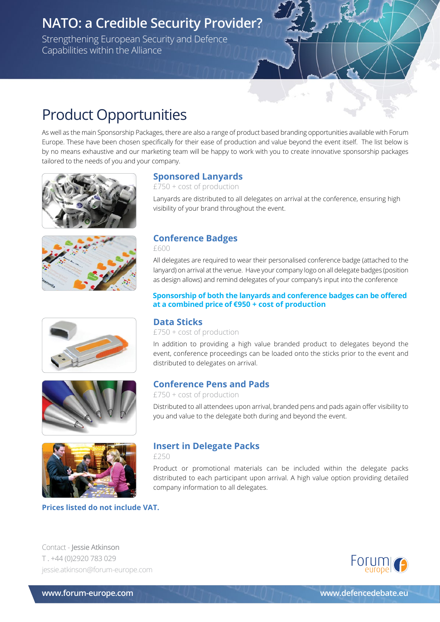Strengthening European Security and Defence Capabilities within the Alliance

### Product Opportunities

As well as the main Sponsorship Packages, there are also a range of product based branding opportunities available with Forum Europe. These have been chosen specifically for their ease of production and value beyond the event itself. The list below is by no means exhaustive and our marketing team will be happy to work with you to create innovative sponsorship packages tailored to the needs of you and your company.











**Prices listed do not include VAT.**

#### **Sponsored Lanyards**

£750 + cost of production

Lanyards are distributed to all delegates on arrival at the conference, ensuring high visibility of your brand throughout the event.

#### **Conference Badges**

£600

All delegates are required to wear their personalised conference badge (attached to the lanyard) on arrival at the venue. Have your company logo on all delegate badges (position as design allows) and remind delegates of your company's input into the conference

#### **Sponsorship of both the lanyards and conference badges can be offered at a combined price of €950 + cost of production**

#### **Data Sticks**

£750 + cost of production

In addition to providing a high value branded product to delegates beyond the event, conference proceedings can be loaded onto the sticks prior to the event and distributed to delegates on arrival.

#### **Conference Pens and Pads**

£750 + cost of production

Distributed to all attendees upon arrival, branded pens and pads again offer visibility to you and value to the delegate both during and beyond the event.

### **Insert in Delegate Packs**

£250

Product or promotional materials can be included within the delegate packs distributed to each participant upon arrival. A high value option providing detailed company information to all delegates.

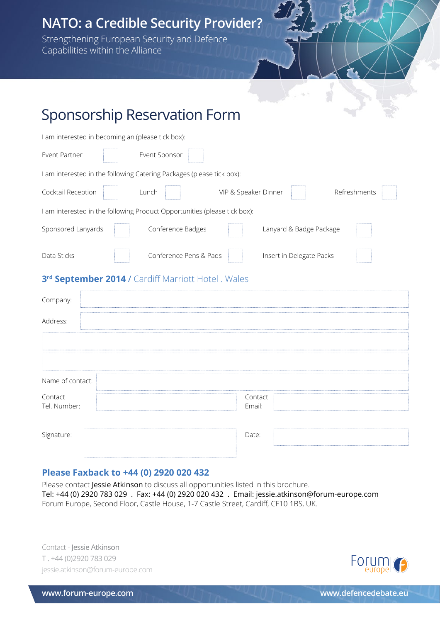Strengthening European Security and Defence Capabilities within the Alliance

### Sponsorship Reservation Form

| I am interested in becoming an (please tick box):                         |                                      |  |  |  |
|---------------------------------------------------------------------------|--------------------------------------|--|--|--|
| Event Sponsor<br>Event Partner                                            |                                      |  |  |  |
| I am interested in the following Catering Packages (please tick box):     |                                      |  |  |  |
| Cocktail Reception<br>Lunch                                               | Refreshments<br>VIP & Speaker Dinner |  |  |  |
| I am interested in the following Product Opportunities (please tick box): |                                      |  |  |  |
| Sponsored Lanyards<br>Conference Badges                                   | Lanyard & Badge Package              |  |  |  |
| Data Sticks<br>Conference Pens & Pads                                     | Insert in Delegate Packs             |  |  |  |
| 3rd September 2014 / Cardiff Marriott Hotel. Wales                        |                                      |  |  |  |
| Company:                                                                  |                                      |  |  |  |
| Address:                                                                  |                                      |  |  |  |
|                                                                           |                                      |  |  |  |
|                                                                           |                                      |  |  |  |
| Name of contact:                                                          |                                      |  |  |  |
| Contact<br>Tel. Number:                                                   | Contact<br>Email:                    |  |  |  |
| Signature:                                                                | Date:                                |  |  |  |

#### **Please Faxback to +44 (0) 2920 020 432**

Please contact Jessie Atkinson to discuss all opportunities listed in this brochure. Tel: +44 (0) 2920 783 029 . Fax: +44 (0) 2920 020 432 . Email: jessie.atkinson@forum-europe.com Forum Europe, Second Floor, Castle House, 1-7 Castle Street, Cardiff, CF10 1BS, UK.

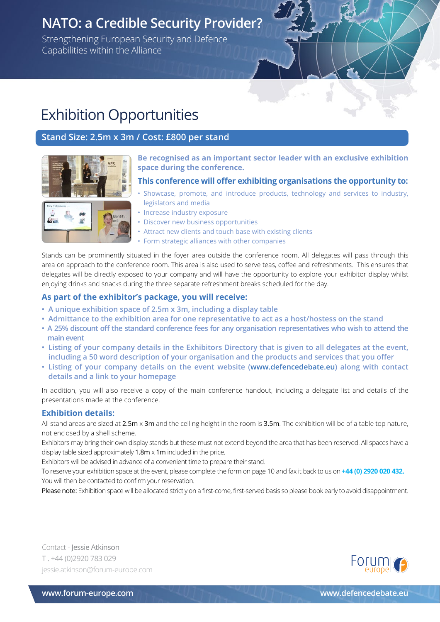Strengthening European Security and Defence Capabilities within the Alliance

### Exhibition Opportunities

#### **Stand Size: 2.5m x 3m / Cost: £800 per stand**



**Be recognised as an important sector leader with an exclusive exhibition space during the conference.**

#### **This conference will offer exhibiting organisations the opportunity to:**

- Showcase, promote, and introduce products, technology and services to industry, legislators and media
- Increase industry exposure
- Discover new business opportunities
- Attract new clients and touch base with existing clients
- Form strategic alliances with other companies

Stands can be prominently situated in the foyer area outside the conference room. All delegates will pass through this area on approach to the conference room. This area is also used to serve teas, coffee and refreshments. This ensures that delegates will be directly exposed to your company and will have the opportunity to explore your exhibitor display whilst enjoying drinks and snacks during the three separate refreshment breaks scheduled for the day.

#### **As part of the exhibitor's package, you will receive:**

- **A unique exhibition space of 2.5m x 3m, including a display table**
- **Admittance to the exhibition area for one representative to act as a host/hostess on the stand**
- **A 25% discount off the standard conference fees for any organisation representatives who wish to attend the main event**
- **Listing of your company details in the Exhibitors Directory that is given to all delegates at the event, including a 50 word description of your organisation and the products and services that you offer**
- **Listing of your company details on the event website (www.defencedebate.eu) along with contact details and a link to your homepage**

In addition, you will also receive a copy of the main conference handout, including a delegate list and details of the presentations made at the conference.

#### **Exhibition details:**

All stand areas are sized at  $2.5m \times 3m$  and the ceiling height in the room is  $3.5m$ . The exhibition will be of a table top nature, not enclosed by a shell scheme.

Exhibitors may bring their own display stands but these must not extend beyond the area that has been reserved. All spaces have a display table sized approximately 1.8m x 1m included in the price.

Exhibitors will be advised in advance of a convenient time to prepare their stand.

To reserve your exhibition space at the event, please complete the form on page 10 and fax it back to us on **+44 (0) 2920 020 432.** You will then be contacted to confirm your reservation.

Please note: Exhibition space will be allocated strictly on a first-come, first-served basis so please book early to avoid disappointment.